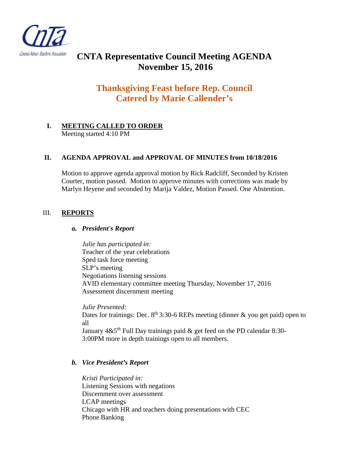

# **CNTA Representative Council Meeting AGENDA November 15, 2016**

# **Thanksgiving Feast before Rep. Council Catered by Marie Callender's**

# **I. MEETING CALLED TO ORDER**  Meeting started 4:10 PM

# **II. AGENDA APPROVAL and APPROVAL OF MINUTES from 10/18/2016**

Motion to approve agenda approval motion by Rick Radcliff, Seconded by Kristen Courter, motion passed. Motion to approve minutes with corrections was made by Marlyn Heyene and seconded by Marija Valdez, Motion Passed. One Abstention.

# III. **REPORTS**

#### *a. President's Report*

*Julie has participated in:*  Teacher of the year celebrations Sped task force meeting SLP's meeting Negotiations listening sessions AVID elementary committee meeting Thursday, November 17, 2016 Assessment discernment meeting

*Julie Presented:* Dates for trainings: Dec.  $8<sup>th</sup> 3:30-6$  REPs meeting (dinner & you get paid) open to all January  $4 & 5$ <sup>th</sup> Full Day trainings paid  $\&$  get feed on the PD calendar 8:30-3:00PM more in depth trainings open to all members.

# *b. Vice President's Report*

*Kristi Participated in:* Listening Sessions with negations Discernment over assessment LCAP meetings Chicago with HR and teachers doing presentations with CEC Phone Banking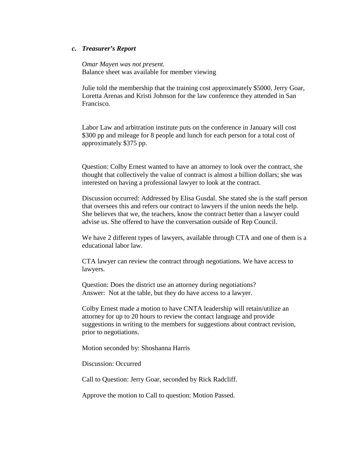#### *c. Treasurer's Report*

*Omar Mayen was not present.* Balance sheet was available for member viewing

Julie told the membership that the training cost approximately \$5000, Jerry Goar, Loretta Arenas and Kristi Johnson for the law conference they attended in San Francisco.

Labor Law and arbitration institute puts on the conference in January will cost \$300 pp and mileage for 8 people and lunch for each person for a total cost of approximately \$375 pp.

Question: Colby Ernest wanted to have an attorney to look over the contract, she thought that collectively the value of contract is almost a billion dollars; she was interested on having a professional lawyer to look at the contract.

Discussion occurred: Addressed by Elisa Gusdal. She stated she is the staff person that oversees this and refers our contract to lawyers if the union needs the help. She believes that we, the teachers, know the contract better than a lawyer could advise us. She offered to have the conversation outside of Rep Council.

We have 2 different types of lawyers, available through CTA and one of them is a educational labor law.

CTA lawyer can review the contract through negotiations. We have access to lawyers.

Question: Does the district use an attorney during negotiations? Answer: Not at the table, but they do have access to a lawyer.

Colby Ernest made a motion to have CNTA leadership will retain/utilize an attorney for up to 20 hours to review the contact language and provide suggestions in writing to the members for suggestions about contract revision, prior to negotiations.

Motion seconded by: Shoshanna Harris

Discussion: Occurred

Call to Question: Jerry Goar, seconded by Rick Radcliff.

Approve the motion to Call to question: Motion Passed.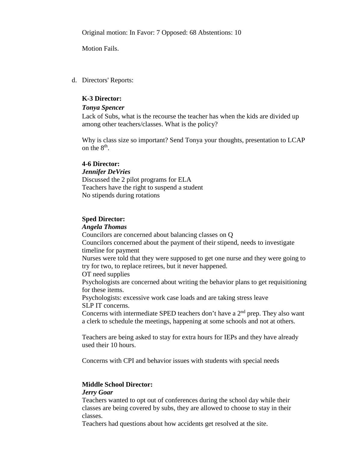Original motion: In Favor: 7 Opposed: 68 Abstentions: 10

Motion Fails.

d. Directors' Reports:

### **K-3 Director:**

#### *Tonya Spencer*

Lack of Subs, what is the recourse the teacher has when the kids are divided up among other teachers/classes. What is the policy?

Why is class size so important? Send Tonya your thoughts, presentation to LCAP on the 8th.

#### **4-6 Director:**

#### *Jennifer DeVries*

Discussed the 2 pilot programs for ELA Teachers have the right to suspend a student No stipends during rotations

#### **Sped Director:**

#### *Angela Thomas*

Councilors are concerned about balancing classes on Q Councilors concerned about the payment of their stipend, needs to investigate timeline for payment

Nurses were told that they were supposed to get one nurse and they were going to try for two, to replace retirees, but it never happened.

OT need supplies

Psychologists are concerned about writing the behavior plans to get requisitioning for these items.

Psychologists: excessive work case loads and are taking stress leave SLP IT concerns.

Concerns with intermediate SPED teachers don't have a  $2<sup>nd</sup>$  prep. They also want a clerk to schedule the meetings, happening at some schools and not at others.

Teachers are being asked to stay for extra hours for IEPs and they have already used their 10 hours.

Concerns with CPI and behavior issues with students with special needs

# **Middle School Director:**

#### *Jerry Goar*

Teachers wanted to opt out of conferences during the school day while their classes are being covered by subs, they are allowed to choose to stay in their classes.

Teachers had questions about how accidents get resolved at the site.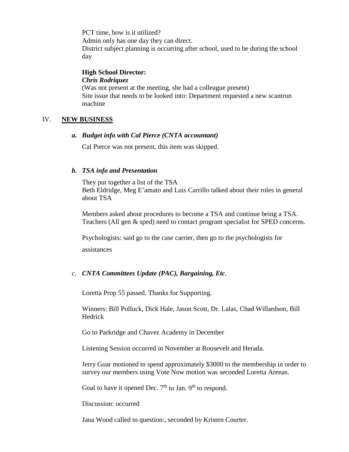PCT time, how is it utilized? Admin only has one day they can direct. District subject planning is occurring after school, used to be during the school day

#### **High School Director:** *Chris Rodriquez*

(Was not present at the meeting, she had a colleague present) Site issue that needs to be looked into: Department requested a new scantron machine

# IV. **NEW BUSINESS**

# *a. Budget info with Cal Pierce (CNTA accountant)*

Cal Pierce was not present, this item was skipped.

# *b. TSA info and Presentation*

They put together a list of the TSA Beth Eldridge, Meg E'amato and Luis Carrillo talked about their roles in general about TSA

Members asked about procedures to become a TSA and continue being a TSA. Teachers (All gen & sped) need to contact program specialist for SPED concerns.

Psychologists: said go to the case carrier, then go to the psychologists for assistances

# *c. CNTA Committees Update (PAC), Bargaining, Etc.*

Loretta Prop 55 passed. Thanks for Supporting.

Winners: Bill Polluck, Dick Hale, Jason Scott, Dr. Lalas, Chad Willardson, Bill Hedrick

Go to Parkridge and Chavez Academy in December

Listening Session occurred in November at Roosevelt and Herada.

Jerry Goar motioned to spend approximately \$3000 to the membership in order to survey our members using Vote Now motion was seconded Loretta Arenas.

Goal to have it opened Dec.  $7<sup>th</sup>$  to Jan.  $9<sup>th</sup>$  to respond.

Discussion: occurred

Jana Wood called to question:, seconded by Kristen Courter.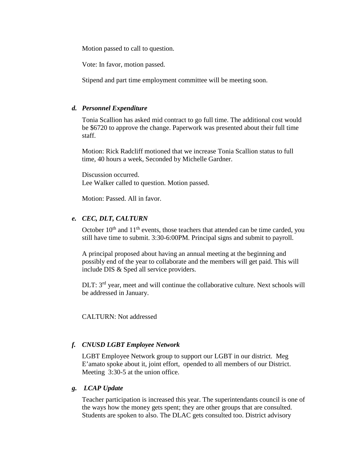Motion passed to call to question.

Vote: In favor, motion passed.

Stipend and part time employment committee will be meeting soon.

# *d. Personnel Expenditure*

Tonia Scallion has asked mid contract to go full time. The additional cost would be \$6720 to approve the change. Paperwork was presented about their full time staff.

Motion: Rick Radcliff motioned that we increase Tonia Scallion status to full time, 40 hours a week, Seconded by Michelle Gardner.

Discussion occurred. Lee Walker called to question. Motion passed.

Motion: Passed. All in favor.

# *e. CEC, DLT, CALTURN*

October  $10<sup>th</sup>$  and  $11<sup>th</sup>$  events, those teachers that attended can be time carded, you still have time to submit. 3:30-6:00PM. Principal signs and submit to payroll.

A principal proposed about having an annual meeting at the beginning and possibly end of the year to collaborate and the members will get paid. This will include DIS & Sped all service providers.

DLT: 3<sup>rd</sup> year, meet and will continue the collaborative culture. Next schools will be addressed in January.

CALTURN: Not addressed

# *f. CNUSD LGBT Employee Network*

LGBT Employee Network group to support our LGBT in our district. Meg E'amato spoke about it, joint effort, opended to all members of our District. Meeting 3:30-5 at the union office.

# *g. LCAP Update*

Teacher participation is increased this year. The superintendants council is one of the ways how the money gets spent; they are other groups that are consulted. Students are spoken to also. The DLAC gets consulted too. District advisory